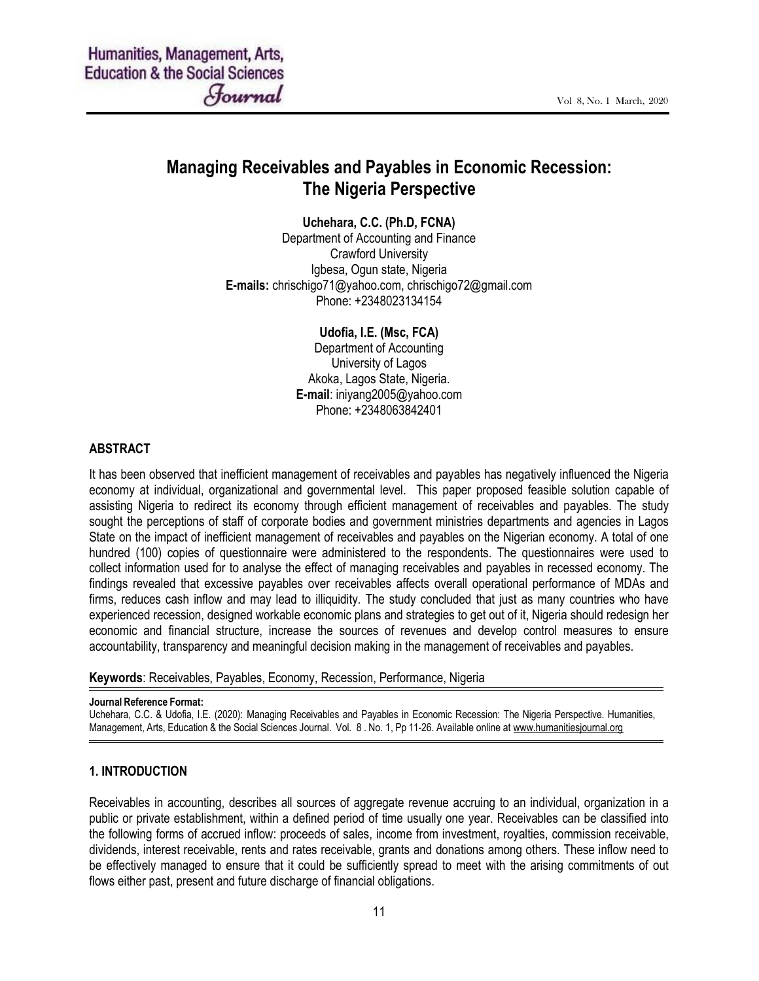# Managing Receivables and Payables in Economic Recession: The Nigeria Perspective

Uchehara, C.C. (Ph.D, FCNA)

Department of Accounting and Finance Crawford University Igbesa, Ogun state, Nigeria E-mails: chrischigo71@yahoo.com, chrischigo72@gmail.com Phone: +2348023134154

Udofia, I.E. (Msc, FCA)

Department of Accounting University of Lagos Akoka, Lagos State, Nigeria. E-mail: iniyang2005@yahoo.com Phone: +2348063842401

#### ABSTRACT

It has been observed that inefficient management of receivables and payables has negatively influenced the Nigeria economy at individual, organizational and governmental level. This paper proposed feasible solution capable of assisting Nigeria to redirect its economy through efficient management of receivables and payables. The study sought the perceptions of staff of corporate bodies and government ministries departments and agencies in Lagos State on the impact of inefficient management of receivables and payables on the Nigerian economy. A total of one hundred (100) copies of questionnaire were administered to the respondents. The questionnaires were used to collect information used for to analyse the effect of managing receivables and payables in recessed economy. The findings revealed that excessive payables over receivables affects overall operational performance of MDAs and firms, reduces cash inflow and may lead to illiquidity. The study concluded that just as many countries who have experienced recession, designed workable economic plans and strategies to get out of it, Nigeria should redesign her economic and financial structure, increase the sources of revenues and develop control measures to ensure accountability, transparency and meaningful decision making in the management of receivables and payables.

Keywords: Receivables, Payables, Economy, Recession, Performance, Nigeria

#### Journal Reference Format:

Uchehara, C.C. & Udofia, I.E. (2020): Managing Receivables and Payables in Economic Recession: The Nigeria Perspective. Humanities, Management, Arts, Education & the Social Sciences Journal. Vol. 8 . No. 1, Pp 11-26. Available online at www.humanitiesjournal.org

#### 1. INTRODUCTION

Receivables in accounting, describes all sources of aggregate revenue accruing to an individual, organization in a public or private establishment, within a defined period of time usually one year. Receivables can be classified into the following forms of accrued inflow: proceeds of sales, income from investment, royalties, commission receivable, dividends, interest receivable, rents and rates receivable, grants and donations among others. These inflow need to be effectively managed to ensure that it could be sufficiently spread to meet with the arising commitments of out flows either past, present and future discharge of financial obligations.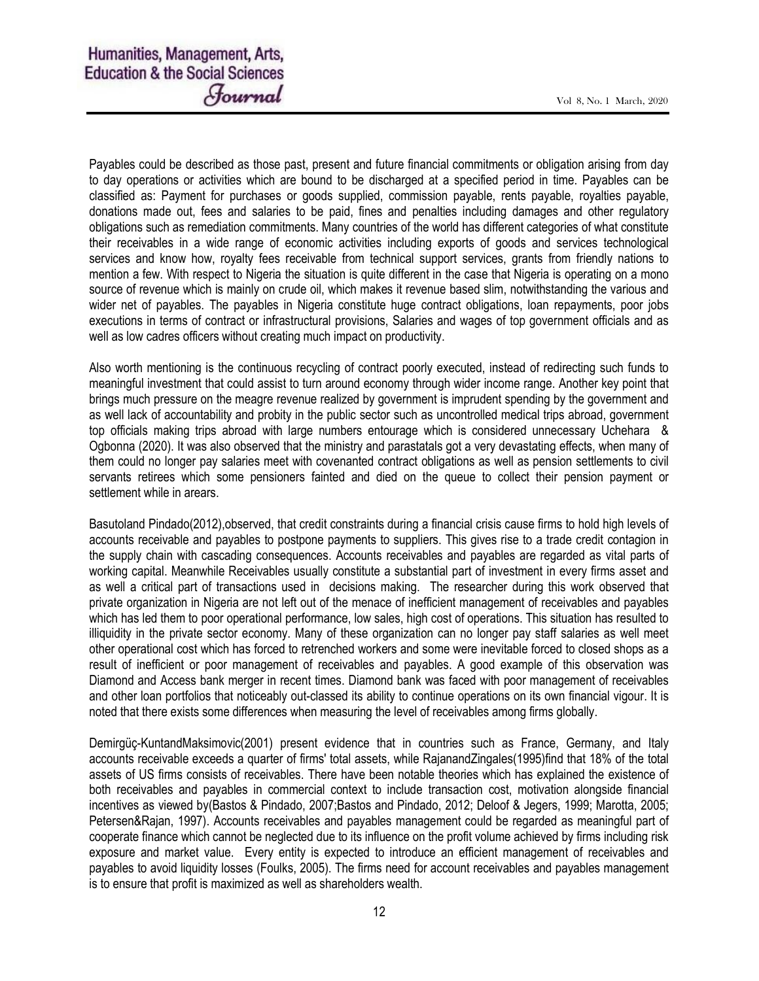Payables could be described as those past, present and future financial commitments or obligation arising from day to day operations or activities which are bound to be discharged at a specified period in time. Payables can be classified as: Payment for purchases or goods supplied, commission payable, rents payable, royalties payable, donations made out, fees and salaries to be paid, fines and penalties including damages and other regulatory obligations such as remediation commitments. Many countries of the world has different categories of what constitute their receivables in a wide range of economic activities including exports of goods and services technological services and know how, royalty fees receivable from technical support services, grants from friendly nations to mention a few. With respect to Nigeria the situation is quite different in the case that Nigeria is operating on a mono source of revenue which is mainly on crude oil, which makes it revenue based slim, notwithstanding the various and wider net of payables. The payables in Nigeria constitute huge contract obligations, loan repayments, poor jobs executions in terms of contract or infrastructural provisions, Salaries and wages of top government officials and as well as low cadres officers without creating much impact on productivity.

Also worth mentioning is the continuous recycling of contract poorly executed, instead of redirecting such funds to meaningful investment that could assist to turn around economy through wider income range. Another key point that brings much pressure on the meagre revenue realized by government is imprudent spending by the government and as well lack of accountability and probity in the public sector such as uncontrolled medical trips abroad, government top officials making trips abroad with large numbers entourage which is considered unnecessary Uchehara & Ogbonna (2020). It was also observed that the ministry and parastatals got a very devastating effects, when many of them could no longer pay salaries meet with covenanted contract obligations as well as pension settlements to civil servants retirees which some pensioners fainted and died on the queue to collect their pension payment or settlement while in arears.

Basutoland Pindado(2012),observed, that credit constraints during a financial crisis cause firms to hold high levels of accounts receivable and payables to postpone payments to suppliers. This gives rise to a trade credit contagion in the supply chain with cascading consequences. Accounts receivables and payables are regarded as vital parts of working capital. Meanwhile Receivables usually constitute a substantial part of investment in every firms asset and as well a critical part of transactions used in decisions making. The researcher during this work observed that private organization in Nigeria are not left out of the menace of inefficient management of receivables and payables which has led them to poor operational performance, low sales, high cost of operations. This situation has resulted to illiquidity in the private sector economy. Many of these organization can no longer pay staff salaries as well meet other operational cost which has forced to retrenched workers and some were inevitable forced to closed shops as a result of inefficient or poor management of receivables and payables. A good example of this observation was Diamond and Access bank merger in recent times. Diamond bank was faced with poor management of receivables and other loan portfolios that noticeably out-classed its ability to continue operations on its own financial vigour. It is noted that there exists some differences when measuring the level of receivables among firms globally.

Demirgüç-KuntandMaksimovic(2001) present evidence that in countries such as France, Germany, and Italy accounts receivable exceeds a quarter of firms' total assets, while RajanandZingales(1995)find that 18% of the total assets of US firms consists of receivables. There have been notable theories which has explained the existence of both receivables and payables in commercial context to include transaction cost, motivation alongside financial incentives as viewed by(Bastos & Pindado, 2007;Bastos and Pindado, 2012; Deloof & Jegers, 1999; Marotta, 2005; Petersen&Rajan, 1997). Accounts receivables and payables management could be regarded as meaningful part of cooperate finance which cannot be neglected due to its influence on the profit volume achieved by firms including risk exposure and market value. Every entity is expected to introduce an efficient management of receivables and payables to avoid liquidity losses (Foulks, 2005). The firms need for account receivables and payables management is to ensure that profit is maximized as well as shareholders wealth.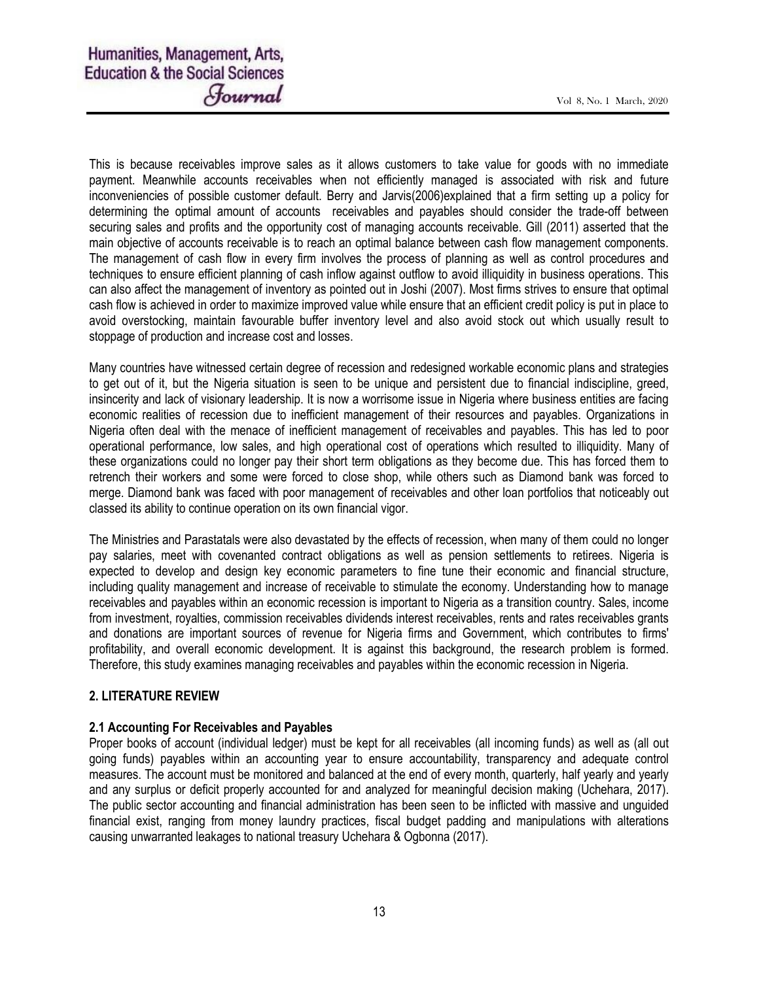This is because receivables improve sales as it allows customers to take value for goods with no immediate payment. Meanwhile accounts receivables when not efficiently managed is associated with risk and future inconveniencies of possible customer default. Berry and Jarvis(2006)explained that a firm setting up a policy for determining the optimal amount of accounts receivables and payables should consider the trade-off between securing sales and profits and the opportunity cost of managing accounts receivable. Gill (2011) asserted that the main objective of accounts receivable is to reach an optimal balance between cash flow management components. The management of cash flow in every firm involves the process of planning as well as control procedures and techniques to ensure efficient planning of cash inflow against outflow to avoid illiquidity in business operations. This can also affect the management of inventory as pointed out in Joshi (2007). Most firms strives to ensure that optimal cash flow is achieved in order to maximize improved value while ensure that an efficient credit policy is put in place to avoid overstocking, maintain favourable buffer inventory level and also avoid stock out which usually result to stoppage of production and increase cost and losses.

Many countries have witnessed certain degree of recession and redesigned workable economic plans and strategies to get out of it, but the Nigeria situation is seen to be unique and persistent due to financial indiscipline, greed, insincerity and lack of visionary leadership. It is now a worrisome issue in Nigeria where business entities are facing economic realities of recession due to inefficient management of their resources and payables. Organizations in Nigeria often deal with the menace of inefficient management of receivables and payables. This has led to poor operational performance, low sales, and high operational cost of operations which resulted to illiquidity. Many of these organizations could no longer pay their short term obligations as they become due. This has forced them to retrench their workers and some were forced to close shop, while others such as Diamond bank was forced to merge. Diamond bank was faced with poor management of receivables and other loan portfolios that noticeably out classed its ability to continue operation on its own financial vigor.

The Ministries and Parastatals were also devastated by the effects of recession, when many of them could no longer pay salaries, meet with covenanted contract obligations as well as pension settlements to retirees. Nigeria is expected to develop and design key economic parameters to fine tune their economic and financial structure, including quality management and increase of receivable to stimulate the economy. Understanding how to manage receivables and payables within an economic recession is important to Nigeria as a transition country. Sales, income from investment, royalties, commission receivables dividends interest receivables, rents and rates receivables grants and donations are important sources of revenue for Nigeria firms and Government, which contributes to firms' profitability, and overall economic development. It is against this background, the research problem is formed. Therefore, this study examines managing receivables and payables within the economic recession in Nigeria.

# 2. LITERATURE REVIEW

# 2.1 Accounting For Receivables and Payables

Proper books of account (individual ledger) must be kept for all receivables (all incoming funds) as well as (all out going funds) payables within an accounting year to ensure accountability, transparency and adequate control measures. The account must be monitored and balanced at the end of every month, quarterly, half yearly and yearly and any surplus or deficit properly accounted for and analyzed for meaningful decision making (Uchehara, 2017). The public sector accounting and financial administration has been seen to be inflicted with massive and unguided financial exist, ranging from money laundry practices, fiscal budget padding and manipulations with alterations causing unwarranted leakages to national treasury Uchehara & Ogbonna (2017).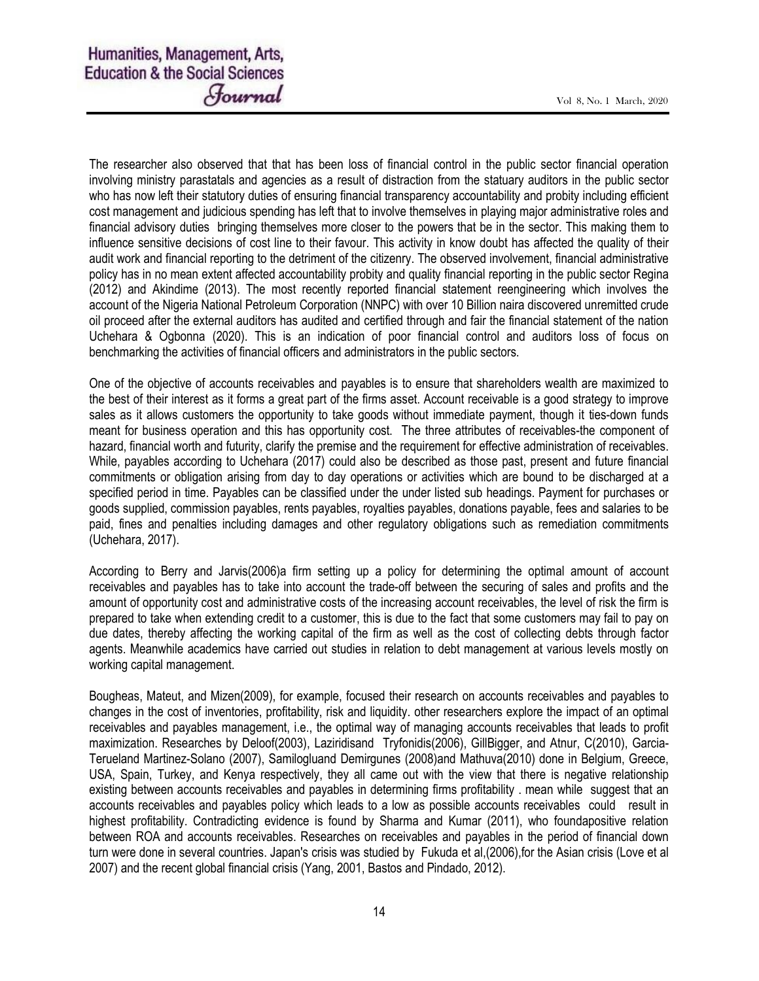The researcher also observed that that has been loss of financial control in the public sector financial operation involving ministry parastatals and agencies as a result of distraction from the statuary auditors in the public sector who has now left their statutory duties of ensuring financial transparency accountability and probity including efficient cost management and judicious spending has left that to involve themselves in playing major administrative roles and financial advisory duties bringing themselves more closer to the powers that be in the sector. This making them to influence sensitive decisions of cost line to their favour. This activity in know doubt has affected the quality of their audit work and financial reporting to the detriment of the citizenry. The observed involvement, financial administrative policy has in no mean extent affected accountability probity and quality financial reporting in the public sector Regina (2012) and Akindime (2013). The most recently reported financial statement reengineering which involves the account of the Nigeria National Petroleum Corporation (NNPC) with over 10 Billion naira discovered unremitted crude oil proceed after the external auditors has audited and certified through and fair the financial statement of the nation Uchehara & Ogbonna (2020). This is an indication of poor financial control and auditors loss of focus on benchmarking the activities of financial officers and administrators in the public sectors.

One of the objective of accounts receivables and payables is to ensure that shareholders wealth are maximized to the best of their interest as it forms a great part of the firms asset. Account receivable is a good strategy to improve sales as it allows customers the opportunity to take goods without immediate payment, though it ties-down funds meant for business operation and this has opportunity cost. The three attributes of receivables-the component of hazard, financial worth and futurity, clarify the premise and the requirement for effective administration of receivables. While, payables according to Uchehara (2017) could also be described as those past, present and future financial commitments or obligation arising from day to day operations or activities which are bound to be discharged at a specified period in time. Payables can be classified under the under listed sub headings. Payment for purchases or goods supplied, commission payables, rents payables, royalties payables, donations payable, fees and salaries to be paid, fines and penalties including damages and other regulatory obligations such as remediation commitments (Uchehara, 2017).

According to Berry and Jarvis(2006)a firm setting up a policy for determining the optimal amount of account receivables and payables has to take into account the trade-off between the securing of sales and profits and the amount of opportunity cost and administrative costs of the increasing account receivables, the level of risk the firm is prepared to take when extending credit to a customer, this is due to the fact that some customers may fail to pay on due dates, thereby affecting the working capital of the firm as well as the cost of collecting debts through factor agents. Meanwhile academics have carried out studies in relation to debt management at various levels mostly on working capital management.

Bougheas, Mateut, and Mizen(2009), for example, focused their research on accounts receivables and payables to changes in the cost of inventories, profitability, risk and liquidity. other researchers explore the impact of an optimal receivables and payables management, i.e., the optimal way of managing accounts receivables that leads to profit maximization. Researches by Deloof(2003), Laziridisand Tryfonidis(2006), GillBigger, and Atnur, C(2010), Garcia-Terueland Martinez-Solano (2007), Samilogluand Demirgunes (2008)and Mathuva(2010) done in Belgium, Greece, USA, Spain, Turkey, and Kenya respectively, they all came out with the view that there is negative relationship existing between accounts receivables and payables in determining firms profitability . mean while suggest that an accounts receivables and payables policy which leads to a low as possible accounts receivables could result in highest profitability. Contradicting evidence is found by Sharma and Kumar (2011), who foundapositive relation between ROA and accounts receivables. Researches on receivables and payables in the period of financial down turn were done in several countries. Japan's crisis was studied by Fukuda et al,(2006),for the Asian crisis (Love et al 2007) and the recent global financial crisis (Yang, 2001, Bastos and Pindado, 2012).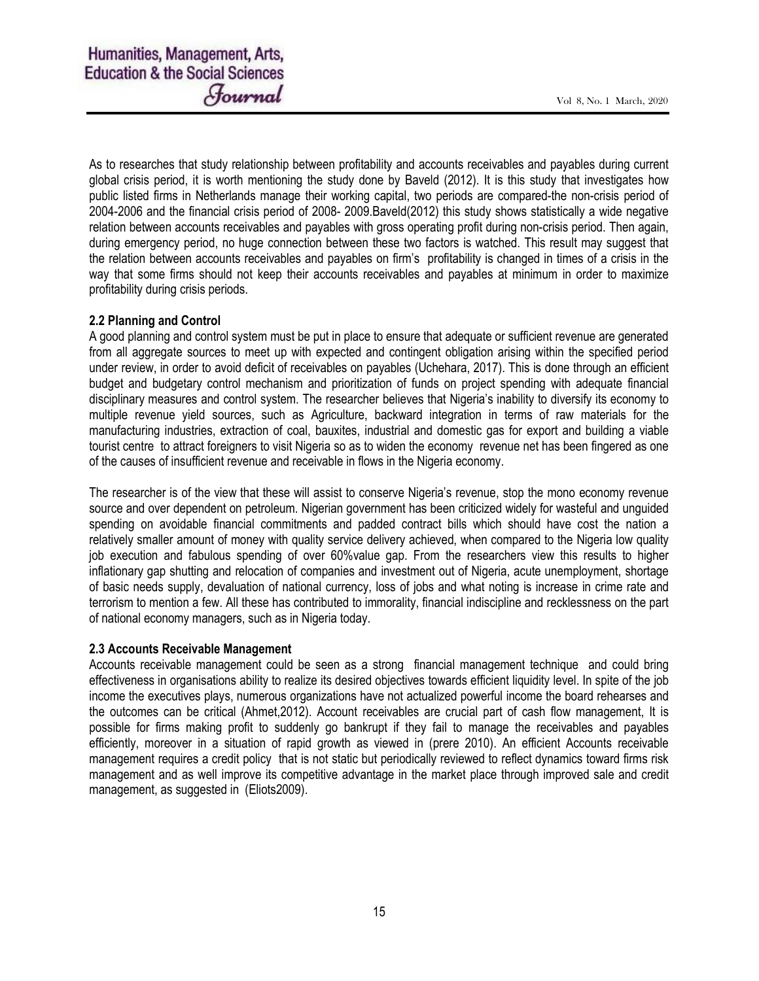As to researches that study relationship between profitability and accounts receivables and payables during current global crisis period, it is worth mentioning the study done by Baveld (2012). It is this study that investigates how public listed firms in Netherlands manage their working capital, two periods are compared-the non-crisis period of 2004-2006 and the financial crisis period of 2008- 2009.Baveld(2012) this study shows statistically a wide negative relation between accounts receivables and payables with gross operating profit during non-crisis period. Then again, during emergency period, no huge connection between these two factors is watched. This result may suggest that the relation between accounts receivables and payables on firm's profitability is changed in times of a crisis in the way that some firms should not keep their accounts receivables and payables at minimum in order to maximize profitability during crisis periods.

# 2.2 Planning and Control

A good planning and control system must be put in place to ensure that adequate or sufficient revenue are generated from all aggregate sources to meet up with expected and contingent obligation arising within the specified period under review, in order to avoid deficit of receivables on payables (Uchehara, 2017). This is done through an efficient budget and budgetary control mechanism and prioritization of funds on project spending with adequate financial disciplinary measures and control system. The researcher believes that Nigeria's inability to diversify its economy to multiple revenue yield sources, such as Agriculture, backward integration in terms of raw materials for the manufacturing industries, extraction of coal, bauxites, industrial and domestic gas for export and building a viable tourist centre to attract foreigners to visit Nigeria so as to widen the economy revenue net has been fingered as one of the causes of insufficient revenue and receivable in flows in the Nigeria economy.

The researcher is of the view that these will assist to conserve Nigeria's revenue, stop the mono economy revenue source and over dependent on petroleum. Nigerian government has been criticized widely for wasteful and unguided spending on avoidable financial commitments and padded contract bills which should have cost the nation a relatively smaller amount of money with quality service delivery achieved, when compared to the Nigeria low quality job execution and fabulous spending of over 60%value gap. From the researchers view this results to higher inflationary gap shutting and relocation of companies and investment out of Nigeria, acute unemployment, shortage of basic needs supply, devaluation of national currency, loss of jobs and what noting is increase in crime rate and terrorism to mention a few. All these has contributed to immorality, financial indiscipline and recklessness on the part of national economy managers, such as in Nigeria today.

# 2.3 Accounts Receivable Management

Accounts receivable management could be seen as a strong financial management technique and could bring effectiveness in organisations ability to realize its desired objectives towards efficient liquidity level. In spite of the job income the executives plays, numerous organizations have not actualized powerful income the board rehearses and the outcomes can be critical (Ahmet,2012). Account receivables are crucial part of cash flow management, It is possible for firms making profit to suddenly go bankrupt if they fail to manage the receivables and payables efficiently, moreover in a situation of rapid growth as viewed in (prere 2010). An efficient Accounts receivable management requires a credit policy that is not static but periodically reviewed to reflect dynamics toward firms risk management and as well improve its competitive advantage in the market place through improved sale and credit management, as suggested in (Eliots2009).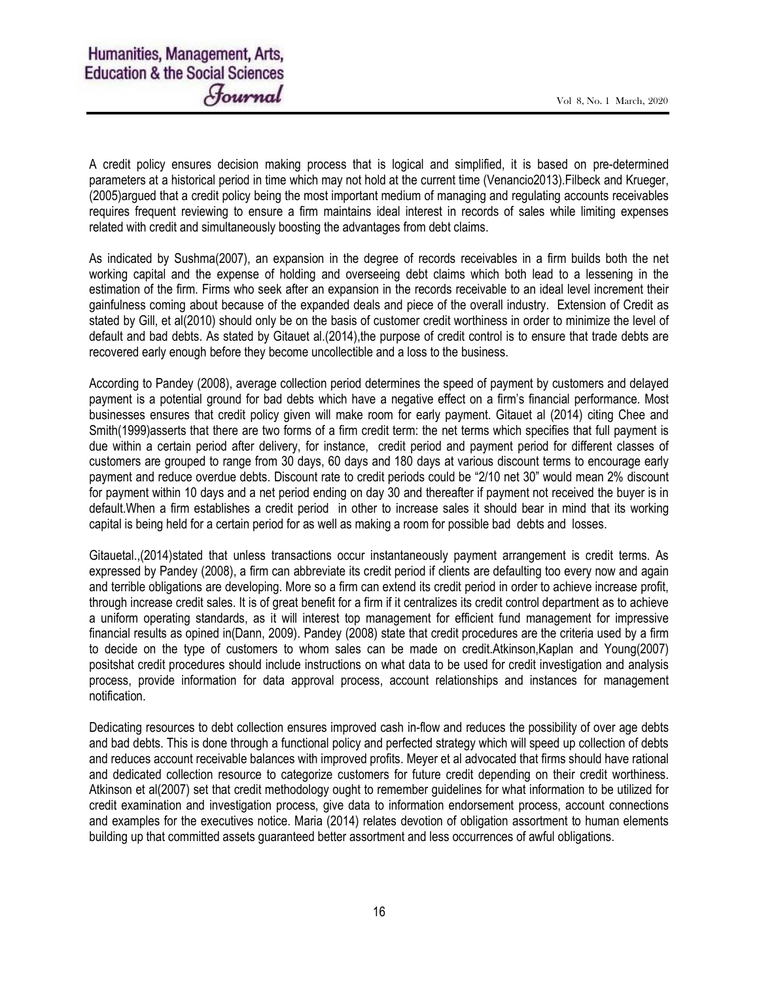A credit policy ensures decision making process that is logical and simplified, it is based on pre-determined parameters at a historical period in time which may not hold at the current time (Venancio2013).Filbeck and Krueger, (2005)argued that a credit policy being the most important medium of managing and regulating accounts receivables requires frequent reviewing to ensure a firm maintains ideal interest in records of sales while limiting expenses related with credit and simultaneously boosting the advantages from debt claims.

As indicated by Sushma(2007), an expansion in the degree of records receivables in a firm builds both the net working capital and the expense of holding and overseeing debt claims which both lead to a lessening in the estimation of the firm. Firms who seek after an expansion in the records receivable to an ideal level increment their gainfulness coming about because of the expanded deals and piece of the overall industry. Extension of Credit as stated by Gill, et al(2010) should only be on the basis of customer credit worthiness in order to minimize the level of default and bad debts. As stated by Gitauet al.(2014),the purpose of credit control is to ensure that trade debts are recovered early enough before they become uncollectible and a loss to the business.

According to Pandey (2008), average collection period determines the speed of payment by customers and delayed payment is a potential ground for bad debts which have a negative effect on a firm's financial performance. Most businesses ensures that credit policy given will make room for early payment. Gitauet al (2014) citing Chee and Smith(1999)asserts that there are two forms of a firm credit term: the net terms which specifies that full payment is due within a certain period after delivery, for instance, credit period and payment period for different classes of customers are grouped to range from 30 days, 60 days and 180 days at various discount terms to encourage early payment and reduce overdue debts. Discount rate to credit periods could be "2/10 net 30" would mean 2% discount for payment within 10 days and a net period ending on day 30 and thereafter if payment not received the buyer is in default.When a firm establishes a credit period in other to increase sales it should bear in mind that its working capital is being held for a certain period for as well as making a room for possible bad debts and losses.

Gitauetal.,(2014)stated that unless transactions occur instantaneously payment arrangement is credit terms. As expressed by Pandey (2008), a firm can abbreviate its credit period if clients are defaulting too every now and again and terrible obligations are developing. More so a firm can extend its credit period in order to achieve increase profit, through increase credit sales. It is of great benefit for a firm if it centralizes its credit control department as to achieve a uniform operating standards, as it will interest top management for efficient fund management for impressive financial results as opined in(Dann, 2009). Pandey (2008) state that credit procedures are the criteria used by a firm to decide on the type of customers to whom sales can be made on credit.Atkinson,Kaplan and Young(2007) positshat credit procedures should include instructions on what data to be used for credit investigation and analysis process, provide information for data approval process, account relationships and instances for management notification.

Dedicating resources to debt collection ensures improved cash in-flow and reduces the possibility of over age debts and bad debts. This is done through a functional policy and perfected strategy which will speed up collection of debts and reduces account receivable balances with improved profits. Meyer et al advocated that firms should have rational and dedicated collection resource to categorize customers for future credit depending on their credit worthiness. Atkinson et al(2007) set that credit methodology ought to remember guidelines for what information to be utilized for credit examination and investigation process, give data to information endorsement process, account connections and examples for the executives notice. Maria (2014) relates devotion of obligation assortment to human elements building up that committed assets guaranteed better assortment and less occurrences of awful obligations.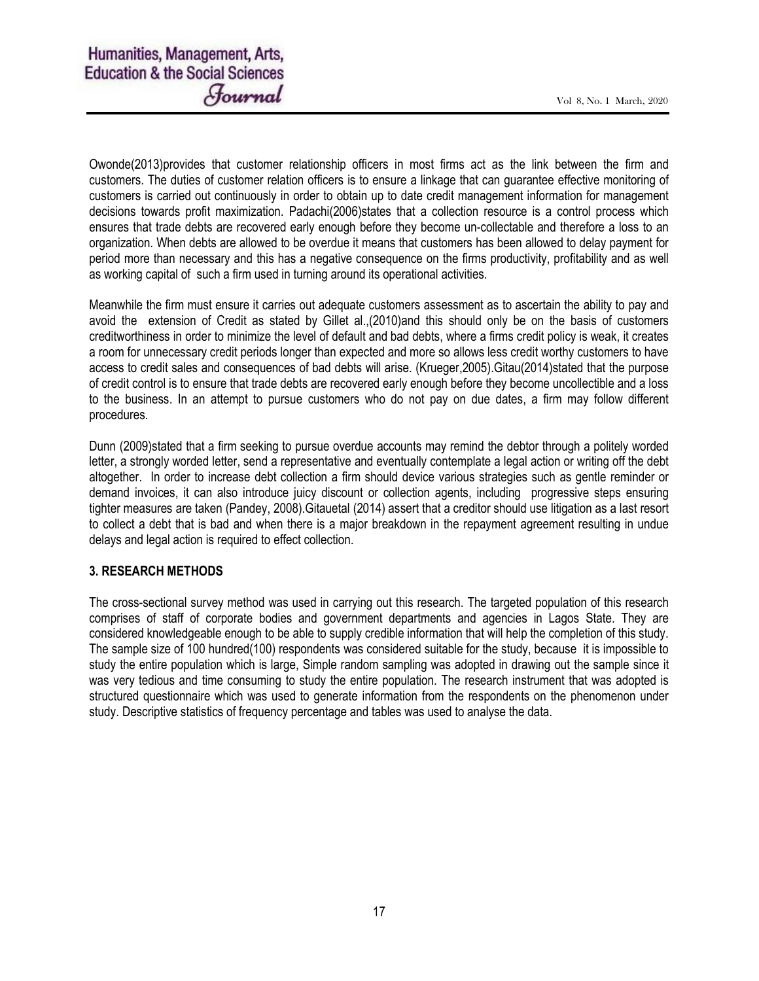Owonde(2013)provides that customer relationship officers in most firms act as the link between the firm and customers. The duties of customer relation officers is to ensure a linkage that can guarantee effective monitoring of customers is carried out continuously in order to obtain up to date credit management information for management decisions towards profit maximization. Padachi(2006)states that a collection resource is a control process which ensures that trade debts are recovered early enough before they become un-collectable and therefore a loss to an organization. When debts are allowed to be overdue it means that customers has been allowed to delay payment for period more than necessary and this has a negative consequence on the firms productivity, profitability and as well as working capital of such a firm used in turning around its operational activities.

Meanwhile the firm must ensure it carries out adequate customers assessment as to ascertain the ability to pay and avoid the extension of Credit as stated by Gillet al.,(2010)and this should only be on the basis of customers creditworthiness in order to minimize the level of default and bad debts, where a firms credit policy is weak, it creates a room for unnecessary credit periods longer than expected and more so allows less credit worthy customers to have access to credit sales and consequences of bad debts will arise. (Krueger,2005).Gitau(2014)stated that the purpose of credit control is to ensure that trade debts are recovered early enough before they become uncollectible and a loss to the business. In an attempt to pursue customers who do not pay on due dates, a firm may follow different procedures.

Dunn (2009)stated that a firm seeking to pursue overdue accounts may remind the debtor through a politely worded letter, a strongly worded letter, send a representative and eventually contemplate a legal action or writing off the debt altogether. In order to increase debt collection a firm should device various strategies such as gentle reminder or demand invoices, it can also introduce juicy discount or collection agents, including progressive steps ensuring tighter measures are taken (Pandey, 2008).Gitauetal (2014) assert that a creditor should use litigation as a last resort to collect a debt that is bad and when there is a major breakdown in the repayment agreement resulting in undue delays and legal action is required to effect collection.

# 3. RESEARCH METHODS

The cross-sectional survey method was used in carrying out this research. The targeted population of this research comprises of staff of corporate bodies and government departments and agencies in Lagos State. They are considered knowledgeable enough to be able to supply credible information that will help the completion of this study. The sample size of 100 hundred(100) respondents was considered suitable for the study, because it is impossible to study the entire population which is large, Simple random sampling was adopted in drawing out the sample since it was very tedious and time consuming to study the entire population. The research instrument that was adopted is structured questionnaire which was used to generate information from the respondents on the phenomenon under study. Descriptive statistics of frequency percentage and tables was used to analyse the data.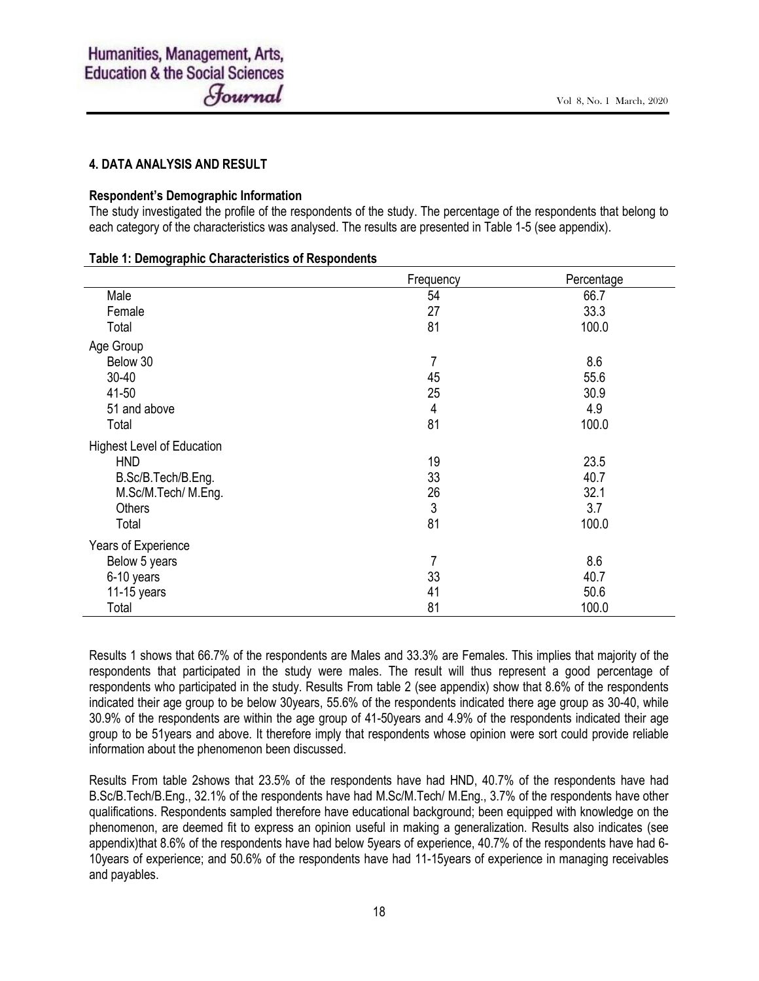# 4. DATA ANALYSIS AND RESULT

#### Respondent's Demographic Information

The study investigated the profile of the respondents of the study. The percentage of the respondents that belong to each category of the characteristics was analysed. The results are presented in Table 1-5 (see appendix).

#### Table 1: Demographic Characteristics of Respondents

|                                   | Frequency  | Percentage |
|-----------------------------------|------------|------------|
| Male                              | 54         | 66.7       |
| Female                            | 27         | 33.3       |
| Total                             | 81         | 100.0      |
| Age Group                         |            |            |
| Below 30                          | 7          | 8.6        |
| 30-40                             | 45         | 55.6       |
| 41-50                             | 25         | 30.9       |
| 51 and above                      | 4          | 4.9        |
| Total                             | 81         | 100.0      |
| <b>Highest Level of Education</b> |            |            |
| <b>HND</b>                        | 19         | 23.5       |
| B.Sc/B.Tech/B.Eng.                | 33         | 40.7       |
| M.Sc/M.Tech/ M.Eng.               | 26         | 32.1       |
| <b>Others</b>                     | $\sqrt{3}$ | 3.7        |
| Total                             | 81         | 100.0      |
| Years of Experience               |            |            |
| Below 5 years                     | 7          | 8.6        |
| 6-10 years                        | 33         | 40.7       |
| 11-15 years                       | 41         | 50.6       |
| Total                             | 81         | 100.0      |

Results 1 shows that 66.7% of the respondents are Males and 33.3% are Females. This implies that majority of the respondents that participated in the study were males. The result will thus represent a good percentage of respondents who participated in the study. Results From table 2 (see appendix) show that 8.6% of the respondents indicated their age group to be below 30years, 55.6% of the respondents indicated there age group as 30-40, while 30.9% of the respondents are within the age group of 41-50years and 4.9% of the respondents indicated their age group to be 51years and above. It therefore imply that respondents whose opinion were sort could provide reliable information about the phenomenon been discussed.

Results From table 2shows that 23.5% of the respondents have had HND, 40.7% of the respondents have had B.Sc/B.Tech/B.Eng., 32.1% of the respondents have had M.Sc/M.Tech/ M.Eng., 3.7% of the respondents have other qualifications. Respondents sampled therefore have educational background; been equipped with knowledge on the phenomenon, are deemed fit to express an opinion useful in making a generalization. Results also indicates (see appendix)that 8.6% of the respondents have had below 5years of experience, 40.7% of the respondents have had 6- 10years of experience; and 50.6% of the respondents have had 11-15years of experience in managing receivables and payables.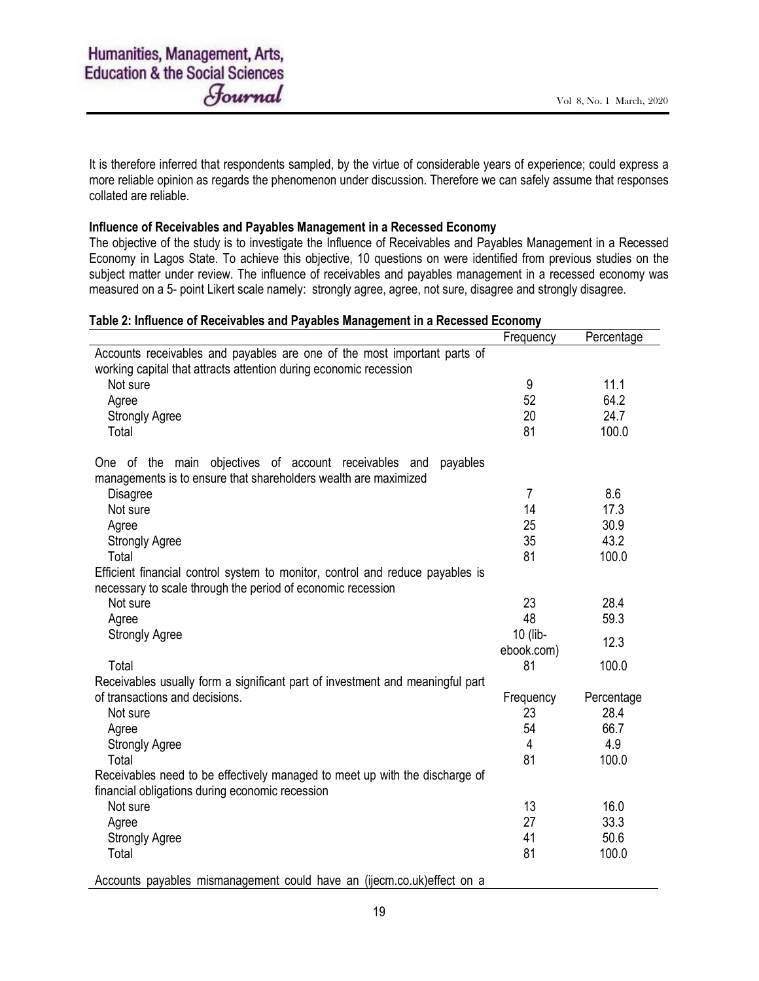It is therefore inferred that respondents sampled, by the virtue of considerable years of experience; could express a more reliable opinion as regards the phenomenon under discussion. Therefore we can safely assume that responses collated are reliable.

# Influence of Receivables and Payables Management in a Recessed Economy

The objective of the study is to investigate the Influence of Receivables and Payables Management in a Recessed Economy in Lagos State. To achieve this objective, 10 questions on were identified from previous studies on the subject matter under review. The influence of receivables and payables management in a recessed economy was measured on a 5- point Likert scale namely: strongly agree, agree, not sure, disagree and strongly disagree.

# Table 2: Influence of Receivables and Payables Management in a Recessed Economy

|                                                                               | Frequency      | Percentage |
|-------------------------------------------------------------------------------|----------------|------------|
| Accounts receivables and payables are one of the most important parts of      |                |            |
| working capital that attracts attention during economic recession             |                |            |
| Not sure                                                                      | 9              | 11.1       |
| Agree                                                                         | 52             | 64.2       |
| <b>Strongly Agree</b>                                                         | 20             | 24.7       |
| Total                                                                         | 81             | 100.0      |
| One of the main objectives of account receivables and<br>payables             |                |            |
| managements is to ensure that shareholders wealth are maximized               |                |            |
| Disagree                                                                      | $\overline{7}$ | 8.6        |
| Not sure                                                                      | 14             | 17.3       |
| Agree                                                                         | 25             | 30.9       |
| <b>Strongly Agree</b>                                                         | 35             | 43.2       |
| Total                                                                         | 81             | 100.0      |
| Efficient financial control system to monitor, control and reduce payables is |                |            |
| necessary to scale through the period of economic recession                   |                |            |
| Not sure                                                                      | 23             | 28.4       |
| Agree                                                                         | 48             | 59.3       |
| <b>Strongly Agree</b>                                                         | 10 (lib-       |            |
|                                                                               | ebook.com)     | 12.3       |
| Total                                                                         | 81             | 100.0      |
| Receivables usually form a significant part of investment and meaningful part |                |            |
| of transactions and decisions.                                                | Frequency      | Percentage |
| Not sure                                                                      | 23             | 28.4       |
| Agree                                                                         | 54             | 66.7       |
| <b>Strongly Agree</b>                                                         | 4              | 4.9        |
| Total                                                                         | 81             | 100.0      |
| Receivables need to be effectively managed to meet up with the discharge of   |                |            |
| financial obligations during economic recession                               |                |            |
| Not sure                                                                      | 13             | 16.0       |
| Agree                                                                         | 27             | 33.3       |
| <b>Strongly Agree</b>                                                         | 41             | 50.6       |
| Total                                                                         | 81             | 100.0      |
| Accounts payables mismanagement could have an (ijecm.co.uk) effect on a       |                |            |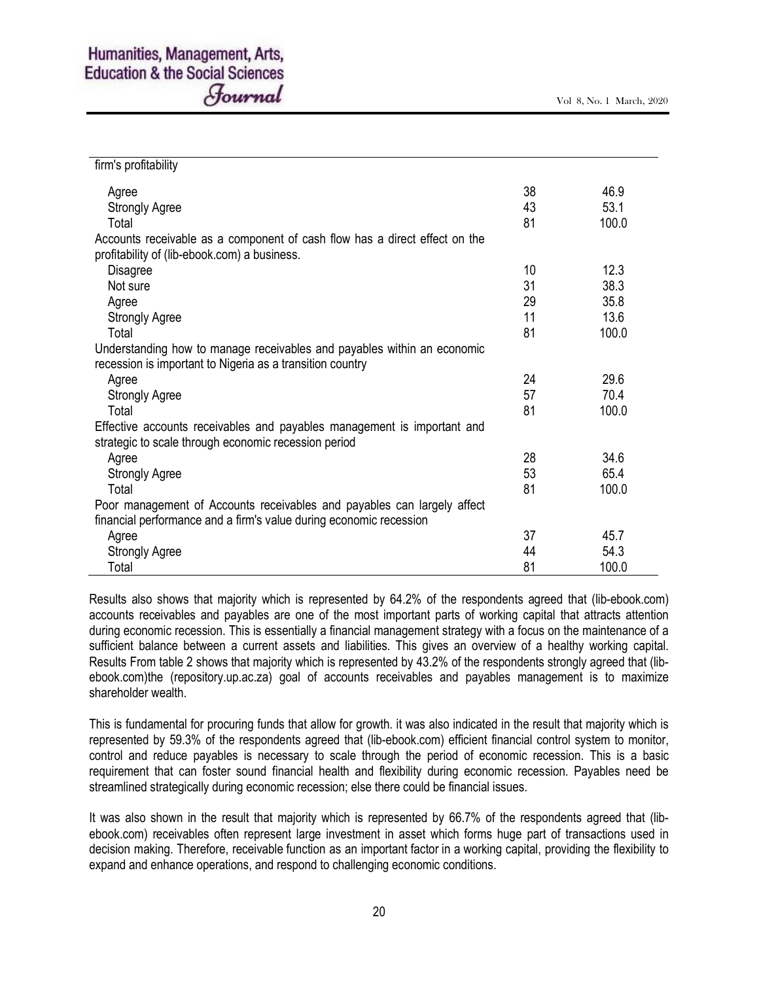| firm's profitability                                                       |    |       |
|----------------------------------------------------------------------------|----|-------|
| Agree                                                                      | 38 | 46.9  |
| <b>Strongly Agree</b>                                                      | 43 | 53.1  |
| Total                                                                      | 81 | 100.0 |
| Accounts receivable as a component of cash flow has a direct effect on the |    |       |
| profitability of (lib-ebook.com) a business.                               |    |       |
| Disagree                                                                   | 10 | 12.3  |
| Not sure                                                                   | 31 | 38.3  |
| Agree                                                                      | 29 | 35.8  |
| <b>Strongly Agree</b>                                                      | 11 | 13.6  |
| Total                                                                      | 81 | 100.0 |
| Understanding how to manage receivables and payables within an economic    |    |       |
| recession is important to Nigeria as a transition country                  |    |       |
| Agree                                                                      | 24 | 29.6  |
| <b>Strongly Agree</b>                                                      | 57 | 70.4  |
| Total                                                                      | 81 | 100.0 |
| Effective accounts receivables and payables management is important and    |    |       |
| strategic to scale through economic recession period                       |    |       |
| Agree                                                                      | 28 | 34.6  |
| <b>Strongly Agree</b>                                                      | 53 | 65.4  |
| Total                                                                      | 81 | 100.0 |
| Poor management of Accounts receivables and payables can largely affect    |    |       |
| financial performance and a firm's value during economic recession         |    |       |
| Agree                                                                      | 37 | 45.7  |
| <b>Strongly Agree</b>                                                      | 44 | 54.3  |
| Total                                                                      | 81 | 100.0 |

Results also shows that majority which is represented by 64.2% of the respondents agreed that (lib-ebook.com) accounts receivables and payables are one of the most important parts of working capital that attracts attention during economic recession. This is essentially a financial management strategy with a focus on the maintenance of a sufficient balance between a current assets and liabilities. This gives an overview of a healthy working capital. Results From table 2 shows that majority which is represented by 43.2% of the respondents strongly agreed that (libebook.com)the (repository.up.ac.za) goal of accounts receivables and payables management is to maximize shareholder wealth.

This is fundamental for procuring funds that allow for growth. it was also indicated in the result that majority which is represented by 59.3% of the respondents agreed that (lib-ebook.com) efficient financial control system to monitor, control and reduce payables is necessary to scale through the period of economic recession. This is a basic requirement that can foster sound financial health and flexibility during economic recession. Payables need be streamlined strategically during economic recession; else there could be financial issues.

It was also shown in the result that majority which is represented by 66.7% of the respondents agreed that (libebook.com) receivables often represent large investment in asset which forms huge part of transactions used in decision making. Therefore, receivable function as an important factor in a working capital, providing the flexibility to expand and enhance operations, and respond to challenging economic conditions.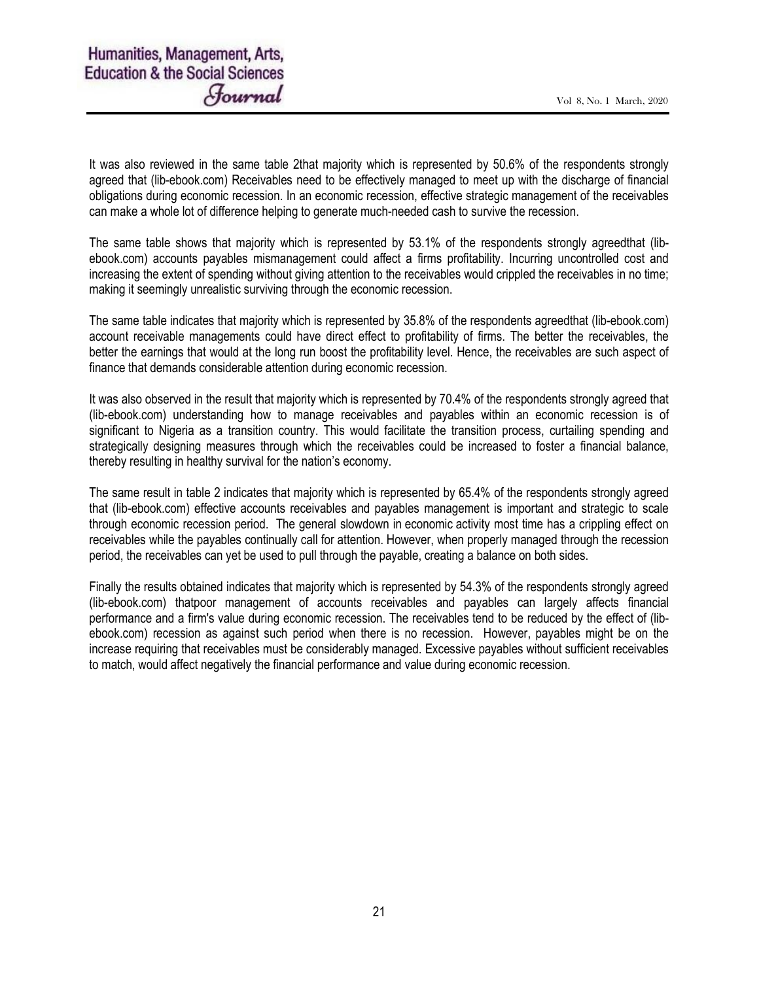It was also reviewed in the same table 2that majority which is represented by 50.6% of the respondents strongly agreed that (lib-ebook.com) Receivables need to be effectively managed to meet up with the discharge of financial obligations during economic recession. In an economic recession, effective strategic management of the receivables can make a whole lot of difference helping to generate much-needed cash to survive the recession.

The same table shows that majority which is represented by 53.1% of the respondents strongly agreedthat (libebook.com) accounts payables mismanagement could affect a firms profitability. Incurring uncontrolled cost and increasing the extent of spending without giving attention to the receivables would crippled the receivables in no time; making it seemingly unrealistic surviving through the economic recession.

The same table indicates that majority which is represented by 35.8% of the respondents agreedthat (lib-ebook.com) account receivable managements could have direct effect to profitability of firms. The better the receivables, the better the earnings that would at the long run boost the profitability level. Hence, the receivables are such aspect of finance that demands considerable attention during economic recession.

It was also observed in the result that majority which is represented by 70.4% of the respondents strongly agreed that (lib-ebook.com) understanding how to manage receivables and payables within an economic recession is of significant to Nigeria as a transition country. This would facilitate the transition process, curtailing spending and strategically designing measures through which the receivables could be increased to foster a financial balance, thereby resulting in healthy survival for the nation's economy.

The same result in table 2 indicates that majority which is represented by 65.4% of the respondents strongly agreed that (lib-ebook.com) effective accounts receivables and payables management is important and strategic to scale through economic recession period. The general slowdown in economic activity most time has a crippling effect on receivables while the payables continually call for attention. However, when properly managed through the recession period, the receivables can yet be used to pull through the payable, creating a balance on both sides.

Finally the results obtained indicates that majority which is represented by 54.3% of the respondents strongly agreed (lib-ebook.com) thatpoor management of accounts receivables and payables can largely affects financial performance and a firm's value during economic recession. The receivables tend to be reduced by the effect of (libebook.com) recession as against such period when there is no recession. However, payables might be on the increase requiring that receivables must be considerably managed. Excessive payables without sufficient receivables to match, would affect negatively the financial performance and value during economic recession.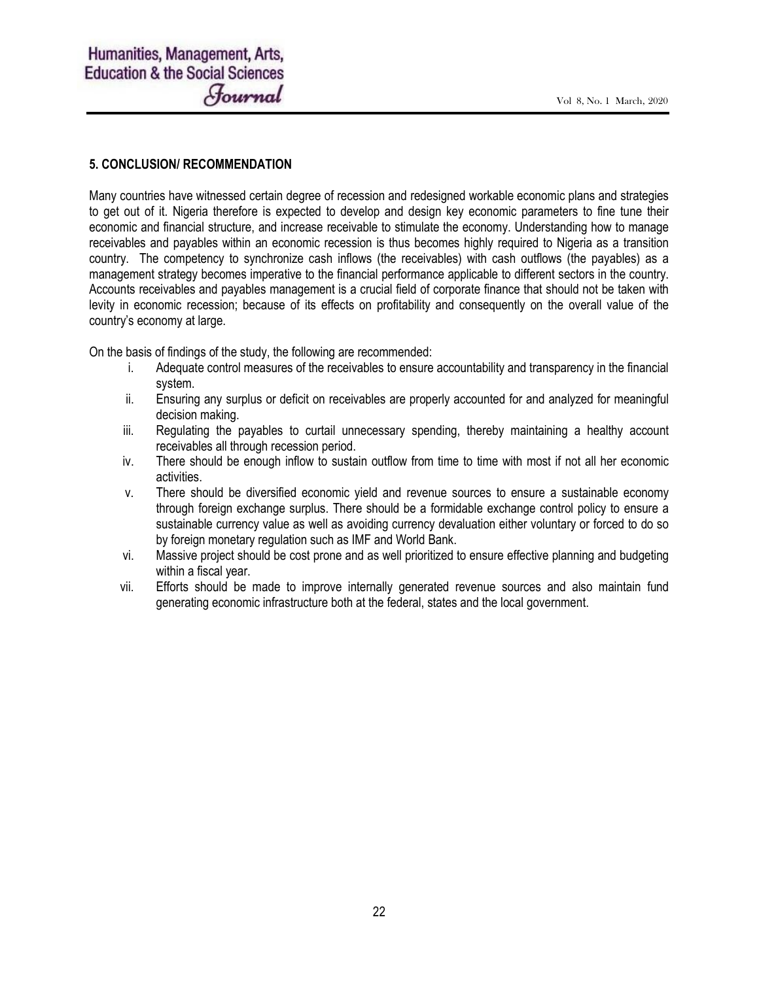# 5. CONCLUSION/ RECOMMENDATION

Many countries have witnessed certain degree of recession and redesigned workable economic plans and strategies to get out of it. Nigeria therefore is expected to develop and design key economic parameters to fine tune their economic and financial structure, and increase receivable to stimulate the economy. Understanding how to manage receivables and payables within an economic recession is thus becomes highly required to Nigeria as a transition country. The competency to synchronize cash inflows (the receivables) with cash outflows (the payables) as a management strategy becomes imperative to the financial performance applicable to different sectors in the country. Accounts receivables and payables management is a crucial field of corporate finance that should not be taken with levity in economic recession; because of its effects on profitability and consequently on the overall value of the country's economy at large.

On the basis of findings of the study, the following are recommended:

- i. Adequate control measures of the receivables to ensure accountability and transparency in the financial system.
- ii. Ensuring any surplus or deficit on receivables are properly accounted for and analyzed for meaningful decision making.
- iii. Regulating the payables to curtail unnecessary spending, thereby maintaining a healthy account receivables all through recession period.
- iv. There should be enough inflow to sustain outflow from time to time with most if not all her economic activities.
- v. There should be diversified economic yield and revenue sources to ensure a sustainable economy through foreign exchange surplus. There should be a formidable exchange control policy to ensure a sustainable currency value as well as avoiding currency devaluation either voluntary or forced to do so by foreign monetary regulation such as IMF and World Bank.
- vi. Massive project should be cost prone and as well prioritized to ensure effective planning and budgeting within a fiscal year.
- vii. Efforts should be made to improve internally generated revenue sources and also maintain fund generating economic infrastructure both at the federal, states and the local government.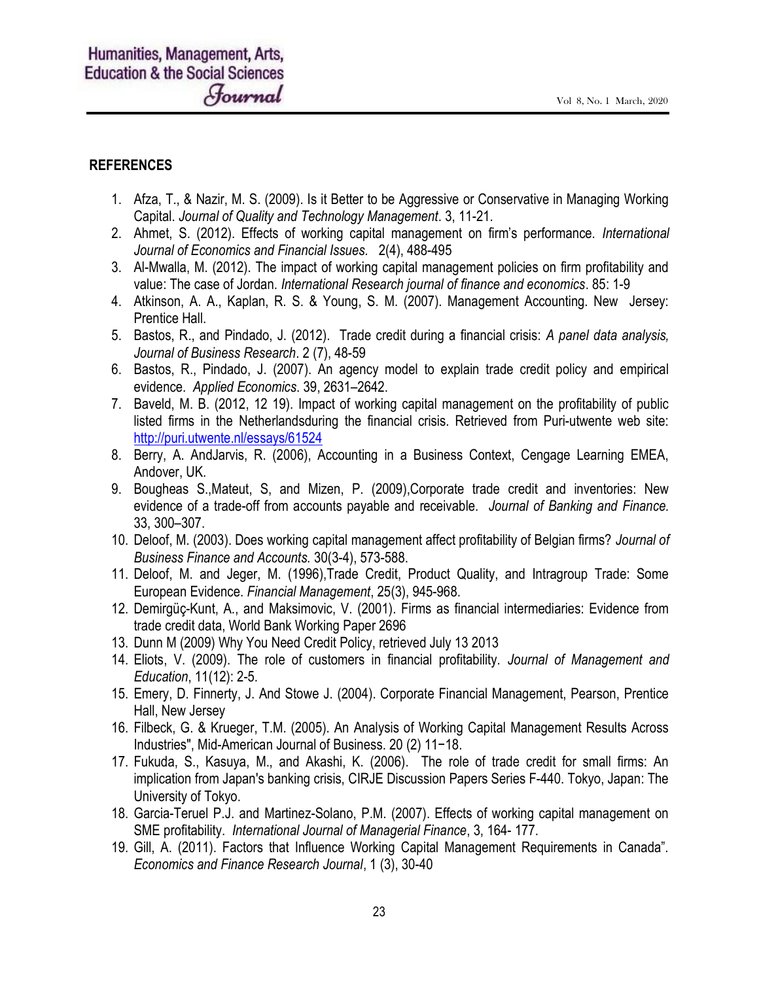# REFERENCES

- 1. Afza, T., & Nazir, M. S. (2009). Is it Better to be Aggressive or Conservative in Managing Working Capital. Journal of Quality and Technology Management. 3, 11-21.
- 2. Ahmet, S. (2012). Effects of working capital management on firm's performance. International Journal of Economics and Financial Issues. 2(4), 488-495
- 3. Al-Mwalla, M. (2012). The impact of working capital management policies on firm profitability and value: The case of Jordan. International Research journal of finance and economics. 85: 1-9
- 4. Atkinson, A. A., Kaplan, R. S. & Young, S. M. (2007). Management Accounting. New Jersey: Prentice Hall.
- 5. Bastos, R., and Pindado, J. (2012). Trade credit during a financial crisis: A panel data analysis, Journal of Business Research. 2 (7), 48-59
- 6. Bastos, R., Pindado, J. (2007). An agency model to explain trade credit policy and empirical evidence. Applied Economics. 39, 2631–2642.
- 7. Baveld, M. B. (2012, 12 19). Impact of working capital management on the profitability of public listed firms in the Netherlandsduring the financial crisis. Retrieved from Puri-utwente web site: http://puri.utwente.nl/essays/61524
- 8. Berry, A. AndJarvis, R. (2006), Accounting in a Business Context, Cengage Learning EMEA, Andover, UK.
- 9. Bougheas S.,Mateut, S, and Mizen, P. (2009),Corporate trade credit and inventories: New evidence of a trade-off from accounts payable and receivable. Journal of Banking and Finance. 33, 300–307.
- 10. Deloof, M. (2003). Does working capital management affect profitability of Belgian firms? Journal of Business Finance and Accounts. 30(3-4), 573-588.
- 11. Deloof, M. and Jeger, M. (1996),Trade Credit, Product Quality, and Intragroup Trade: Some European Evidence. Financial Management, 25(3), 945-968.
- 12. Demirgüç-Kunt, A., and Maksimovic, V. (2001). Firms as financial intermediaries: Evidence from trade credit data, World Bank Working Paper 2696
- 13. Dunn M (2009) Why You Need Credit Policy, retrieved July 13 2013
- 14. Eliots, V. (2009). The role of customers in financial profitability. Journal of Management and Education, 11(12): 2-5.
- 15. Emery, D. Finnerty, J. And Stowe J. (2004). Corporate Financial Management, Pearson, Prentice Hall, New Jersey
- 16. Filbeck, G. & Krueger, T.M. (2005). An Analysis of Working Capital Management Results Across Industries", Mid-American Journal of Business. 20 (2) 11−18.
- 17. Fukuda, S., Kasuya, M., and Akashi, K. (2006). The role of trade credit for small firms: An implication from Japan's banking crisis, CIRJE Discussion Papers Series F-440. Tokyo, Japan: The University of Tokyo.
- 18. Garcia-Teruel P.J. and Martinez-Solano, P.M. (2007). Effects of working capital management on SME profitability. International Journal of Managerial Finance, 3, 164- 177.
- 19. Gill, A. (2011). Factors that Influence Working Capital Management Requirements in Canada". Economics and Finance Research Journal, 1 (3), 30-40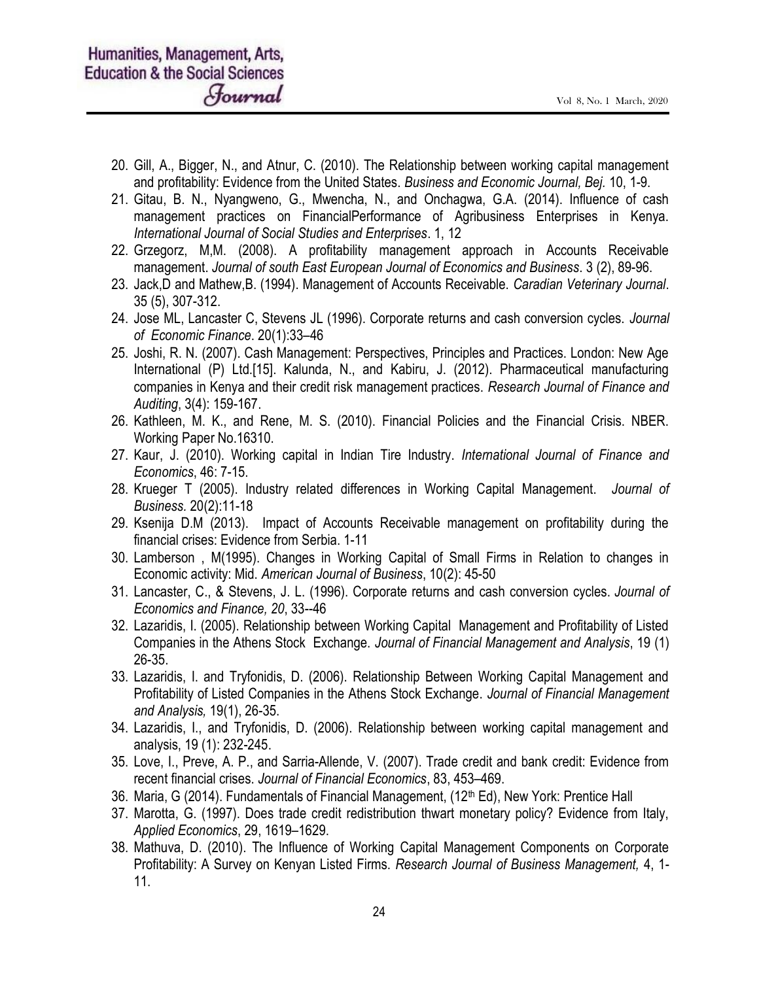- 20. Gill, A., Bigger, N., and Atnur, C. (2010). The Relationship between working capital management and profitability: Evidence from the United States. Business and Economic Journal, Bej. 10, 1-9.
- 21. Gitau, B. N., Nyangweno, G., Mwencha, N., and Onchagwa, G.A. (2014). Influence of cash management practices on FinancialPerformance of Agribusiness Enterprises in Kenya. International Journal of Social Studies and Enterprises. 1, 12
- 22. Grzegorz, M,M. (2008). A profitability management approach in Accounts Receivable management. Journal of south East European Journal of Economics and Business. 3 (2), 89-96.
- 23. Jack,D and Mathew,B. (1994). Management of Accounts Receivable. Caradian Veterinary Journal. 35 (5), 307-312.
- 24. Jose ML, Lancaster C, Stevens JL (1996). Corporate returns and cash conversion cycles. Journal of Economic Finance. 20(1):33–46
- 25. Joshi, R. N. (2007). Cash Management: Perspectives, Principles and Practices. London: New Age International (P) Ltd.[15]. Kalunda, N., and Kabiru, J. (2012). Pharmaceutical manufacturing companies in Kenya and their credit risk management practices. Research Journal of Finance and Auditing, 3(4): 159-167.
- 26. Kathleen, M. K., and Rene, M. S. (2010). Financial Policies and the Financial Crisis. NBER. Working Paper No.16310.
- 27. Kaur, J. (2010). Working capital in Indian Tire Industry. International Journal of Finance and Economics, 46: 7-15.
- 28. Krueger T (2005). Industry related differences in Working Capital Management. Journal of Business. 20(2):11-18
- 29. Ksenija D.M (2013). Impact of Accounts Receivable management on profitability during the financial crises: Evidence from Serbia. 1-11
- 30. Lamberson , M(1995). Changes in Working Capital of Small Firms in Relation to changes in Economic activity: Mid. American Journal of Business, 10(2): 45-50
- 31. Lancaster, C., & Stevens, J. L. (1996). Corporate returns and cash conversion cycles. Journal of Economics and Finance, 20, 33--46
- 32. Lazaridis, I. (2005). Relationship between Working Capital Management and Profitability of Listed Companies in the Athens Stock Exchange. Journal of Financial Management and Analysis, 19 (1) 26-35.
- 33. Lazaridis, I. and Tryfonidis, D. (2006). Relationship Between Working Capital Management and Profitability of Listed Companies in the Athens Stock Exchange. Journal of Financial Management and Analysis, 19(1), 26-35.
- 34. Lazaridis, I., and Tryfonidis, D. (2006). Relationship between working capital management and analysis, 19 (1): 232-245.
- 35. Love, I., Preve, A. P., and Sarria-Allende, V. (2007). Trade credit and bank credit: Evidence from recent financial crises. Journal of Financial Economics, 83, 453–469.
- 36. Maria, G (2014). Fundamentals of Financial Management, (12<sup>th</sup> Ed), New York: Prentice Hall
- 37. Marotta, G. (1997). Does trade credit redistribution thwart monetary policy? Evidence from Italy, Applied Economics, 29, 1619–1629.
- 38. Mathuva, D. (2010). The Influence of Working Capital Management Components on Corporate Profitability: A Survey on Kenyan Listed Firms. Research Journal of Business Management, 4, 1- 11.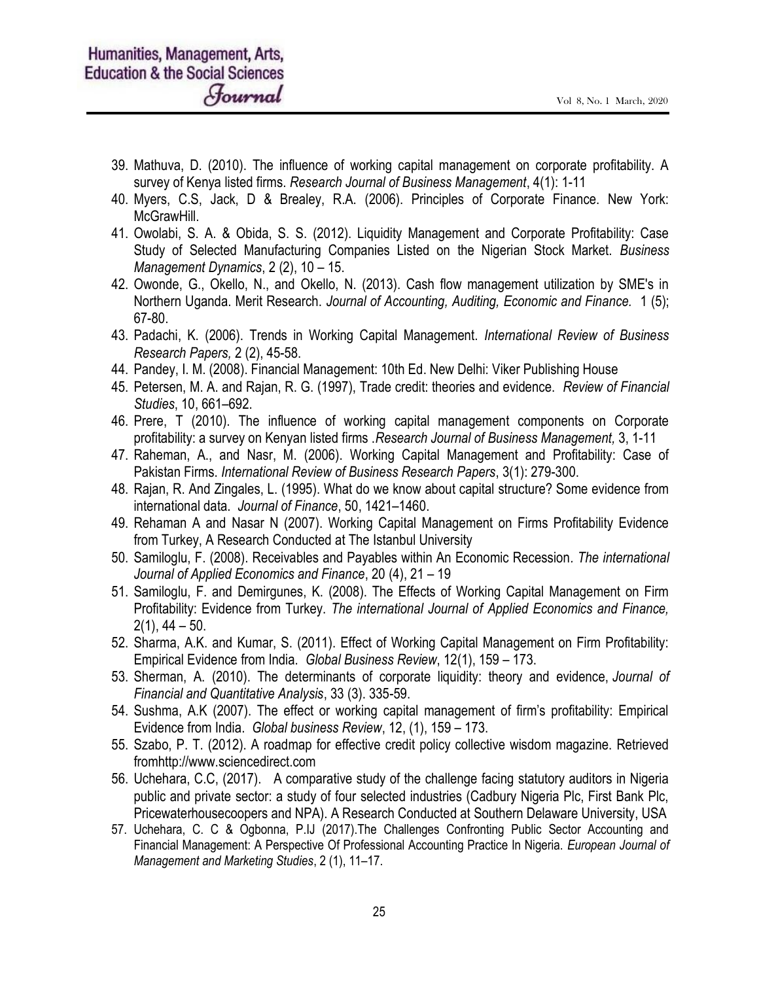- 39. Mathuva, D. (2010). The influence of working capital management on corporate profitability. A survey of Kenya listed firms. Research Journal of Business Management, 4(1): 1-11
- 40. Myers, C.S, Jack, D & Brealey, R.A. (2006). Principles of Corporate Finance. New York: McGrawHill.
- 41. Owolabi, S. A. & Obida, S. S. (2012). Liquidity Management and Corporate Profitability: Case Study of Selected Manufacturing Companies Listed on the Nigerian Stock Market. Business Management Dynamics, 2 (2), 10 – 15.
- 42. Owonde, G., Okello, N., and Okello, N. (2013). Cash flow management utilization by SME's in Northern Uganda. Merit Research. Journal of Accounting, Auditing, Economic and Finance. 1 (5); 67-80.
- 43. Padachi, K. (2006). Trends in Working Capital Management. International Review of Business Research Papers, 2 (2), 45-58.
- 44. Pandey, I. M. (2008). Financial Management: 10th Ed. New Delhi: Viker Publishing House
- 45. Petersen, M. A. and Rajan, R. G. (1997), Trade credit: theories and evidence. Review of Financial Studies, 10, 661–692.
- 46. Prere, T (2010). The influence of working capital management components on Corporate profitability: a survey on Kenyan listed firms .Research Journal of Business Management, 3, 1-11
- 47. Raheman, A., and Nasr, M. (2006). Working Capital Management and Profitability: Case of Pakistan Firms. International Review of Business Research Papers, 3(1): 279-300.
- 48. Rajan, R. And Zingales, L. (1995). What do we know about capital structure? Some evidence from international data. Journal of Finance, 50, 1421–1460.
- 49. Rehaman A and Nasar N (2007). Working Capital Management on Firms Profitability Evidence from Turkey, A Research Conducted at The Istanbul University
- 50. Samiloglu, F. (2008). Receivables and Payables within An Economic Recession. The international Journal of Applied Economics and Finance, 20 (4), 21 – 19
- 51. Samiloglu, F. and Demirgunes, K. (2008). The Effects of Working Capital Management on Firm Profitability: Evidence from Turkey. The international Journal of Applied Economics and Finance,  $2(1), 44 - 50.$
- 52. Sharma, A.K. and Kumar, S. (2011). Effect of Working Capital Management on Firm Profitability: Empirical Evidence from India. Global Business Review, 12(1), 159 – 173.
- 53. Sherman, A. (2010). The determinants of corporate liquidity: theory and evidence, Journal of Financial and Quantitative Analysis, 33 (3). 335-59.
- 54. Sushma, A.K (2007). The effect or working capital management of firm's profitability: Empirical Evidence from India. Global business Review, 12, (1), 159 – 173.
- 55. Szabo, P. T. (2012). A roadmap for effective credit policy collective wisdom magazine. Retrieved fromhttp://www.sciencedirect.com
- 56. Uchehara, C.C, (2017). A comparative study of the challenge facing statutory auditors in Nigeria public and private sector: a study of four selected industries (Cadbury Nigeria Plc, First Bank Plc, Pricewaterhousecoopers and NPA). A Research Conducted at Southern Delaware University, USA
- 57. Uchehara, C. C & Ogbonna, P.IJ (2017).The Challenges Confronting Public Sector Accounting and Financial Management: A Perspective Of Professional Accounting Practice In Nigeria. European Journal of Management and Marketing Studies, 2 (1), 11–17.